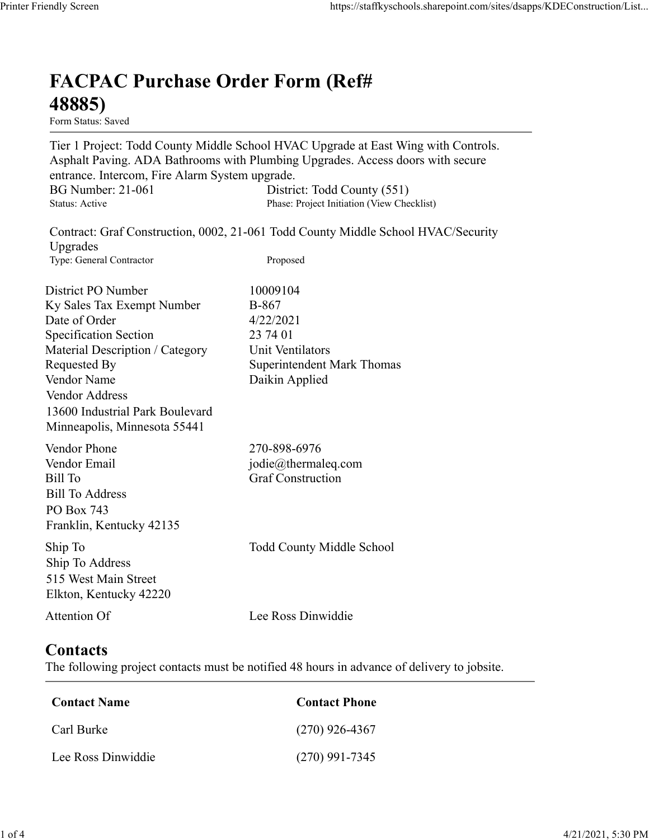## FACPAC Purchase Order Form (Ref# 48885)

Tier 1 Project: Todd County Middle School HVAC Upgrade at East Wing with Controls. Asphalt Paving. ADA Bathrooms with Plumbing Upgrades. Access doors with secure entrance. Intercom, Fire Alarm System upgrade. https://staffkyschools.sharepoint.com/sites/dsapps/KDEConstructic<br> **FACPAC Purchase Order Form (Ref#**<br>
H8885)<br>
Form Status: Saved<br>
Tier 1 Project: Todd County Middle School HVAC Upgrade at East Wing with Controls.<br>
Asphalt https://staffkyschools.sharepoint.com/sites/dsapps/KDEConstructic<br> **FACPAC Purchase Order Form (Ref#**<br>
Form Status: Saved<br>
Tier 1 Project: Todd County Middle School HVAC Upgrade at East Wing with Controls.<br>
Asphalt Paving. May Screen<br>
Intps://staffkyschools.sharepoint.com/sites/dsarps/KDFConstructic<br>
Term Status: Saved<br>
Form Status: Saved<br>
Form Status: Saved<br>
Term Project: Todd County Middle School HVAC Upgrade at East Wing with Controls.<br>
A **FACPAC Purchase Order Form (Ref#** $\frac{48885}{1}$ **<br>
Form Status: Saved<br>
Trer 1 Project: Todd County Middle School HVAC Upgrade at East Wing with Controls.<br>
Asphalt Paving. ADA Bathrooms with Plumbing Upgrades. Access doors wi FACPAC Purchase Order Form (Ref#**<br> **48885)**<br>
Form Stans: Saved<br>
Form Stans: Saved<br>
Teroject: Todd County Middle School HVAC Upgrade at East Wing with Controls.<br>
Asphalt Paving. ADA Bathrooms with Plumbing Upgrades.<br>
Acce

| 48885)<br>Form Status: Saved                                                                                                                                                                                                                                                                                                                      |                                                                                                                       |  |  |  |  |  |
|---------------------------------------------------------------------------------------------------------------------------------------------------------------------------------------------------------------------------------------------------------------------------------------------------------------------------------------------------|-----------------------------------------------------------------------------------------------------------------------|--|--|--|--|--|
| Tier 1 Project: Todd County Middle School HVAC Upgrade at East Wing with Controls.<br>Asphalt Paving. ADA Bathrooms with Plumbing Upgrades. Access doors with secure<br>entrance. Intercom, Fire Alarm System upgrade.<br><b>BG Number: 21-061</b><br>District: Todd County (551)<br>Phase: Project Initiation (View Checklist)<br>Status: Active |                                                                                                                       |  |  |  |  |  |
|                                                                                                                                                                                                                                                                                                                                                   | Contract: Graf Construction, 0002, 21-061 Todd County Middle School HVAC/Security                                     |  |  |  |  |  |
| Upgrades<br>Type: General Contractor                                                                                                                                                                                                                                                                                                              | Proposed                                                                                                              |  |  |  |  |  |
| District PO Number<br>Ky Sales Tax Exempt Number<br>Date of Order<br><b>Specification Section</b><br>Material Description / Category<br>Requested By<br>Vendor Name<br>Vendor Address<br>13600 Industrial Park Boulevard<br>Minneapolis, Minnesota 55441                                                                                          | 10009104<br>B-867<br>4/22/2021<br>23 74 01<br>Unit Ventilators<br><b>Superintendent Mark Thomas</b><br>Daikin Applied |  |  |  |  |  |
| Vendor Phone<br>Vendor Email<br>Bill To<br><b>Bill To Address</b><br>PO Box 743<br>Franklin, Kentucky 42135                                                                                                                                                                                                                                       | 270-898-6976<br>jodie@thermaleq.com<br><b>Graf Construction</b>                                                       |  |  |  |  |  |
| Ship To<br>Ship To Address<br>515 West Main Street<br>Elkton, Kentucky 42220                                                                                                                                                                                                                                                                      | <b>Todd County Middle School</b>                                                                                      |  |  |  |  |  |
| Attention Of                                                                                                                                                                                                                                                                                                                                      | Lee Ross Dinwiddie                                                                                                    |  |  |  |  |  |

## **Contacts**

| 270-898-6976<br>jodie@thermaleq.com<br><b>Graf Construction</b>                             |
|---------------------------------------------------------------------------------------------|
| Todd County Middle School                                                                   |
| Lee Ross Dinwiddie                                                                          |
| The following project contacts must be notified 48 hours in advance of delivery to jobsite. |
| <b>Contact Phone</b>                                                                        |
| $(270)$ 926-4367                                                                            |
| $(270)$ 991-7345                                                                            |
|                                                                                             |
|                                                                                             |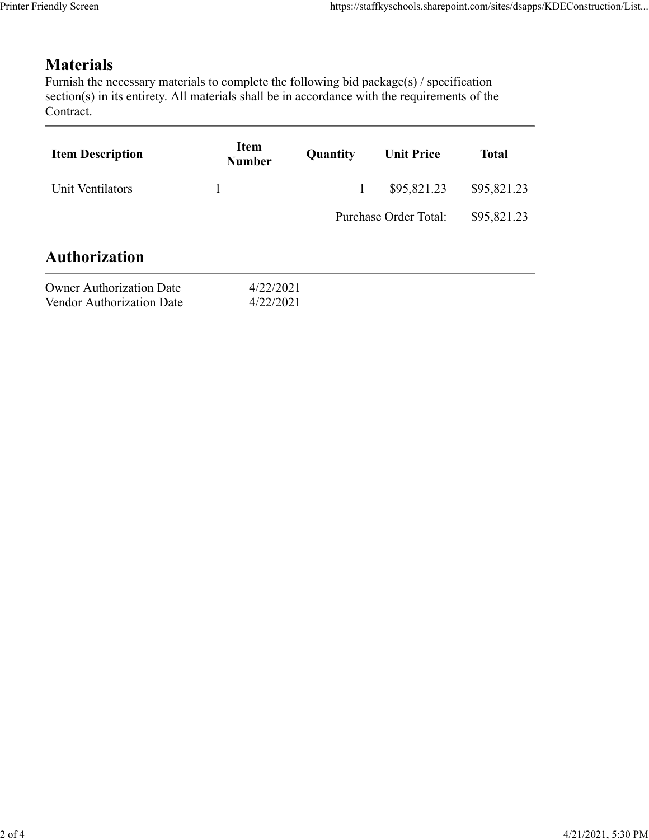## **Materials**

| endly Screen                                                                                                                                                                                                               |                       |              | https://staffkyschools.sharepoint.com/sites/dsapps/KDEConstruction/List |              |
|----------------------------------------------------------------------------------------------------------------------------------------------------------------------------------------------------------------------------|-----------------------|--------------|-------------------------------------------------------------------------|--------------|
|                                                                                                                                                                                                                            |                       |              |                                                                         |              |
| <b>Materials</b><br>Furnish the necessary materials to complete the following bid package(s) / specification<br>section(s) in its entirety. All materials shall be in accordance with the requirements of the<br>Contract. |                       |              |                                                                         |              |
| <b>Item Description</b>                                                                                                                                                                                                    | Item<br><b>Number</b> | Quantity     | <b>Unit Price</b>                                                       | <b>Total</b> |
| Unit Ventilators                                                                                                                                                                                                           | $\mathbf{1}$          | $\mathbf{1}$ | \$95,821.23                                                             | \$95,821.23  |
|                                                                                                                                                                                                                            |                       |              | Purchase Order Total:                                                   | \$95,821.23  |
|                                                                                                                                                                                                                            |                       |              |                                                                         |              |
| <b>Authorization</b>                                                                                                                                                                                                       |                       |              |                                                                         |              |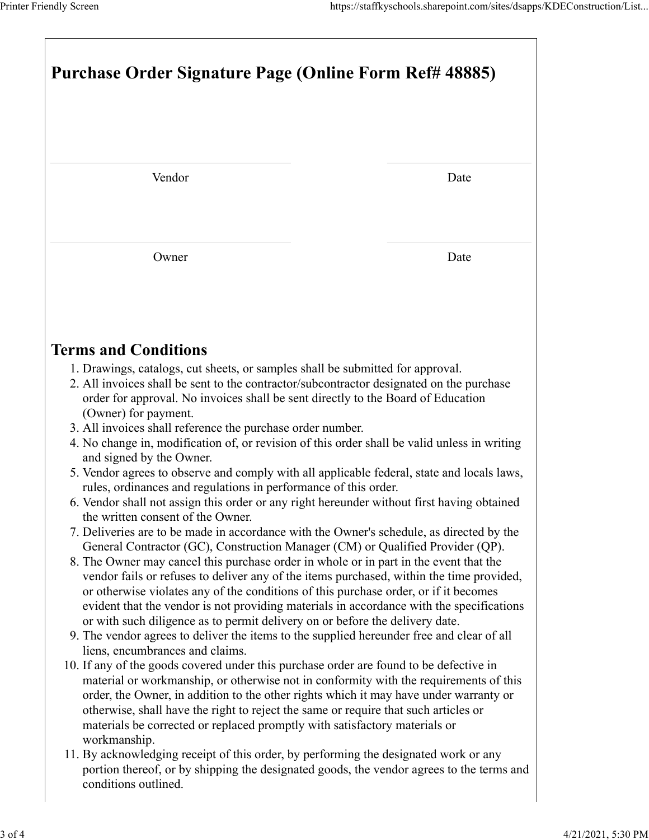|                                                                                                                                                                                                                                                                                                                                                                                                                                                                                  | https://staffkyschools.sharepoint.com/sites/dsapps/KDEConstruction/List |  |  |  |
|----------------------------------------------------------------------------------------------------------------------------------------------------------------------------------------------------------------------------------------------------------------------------------------------------------------------------------------------------------------------------------------------------------------------------------------------------------------------------------|-------------------------------------------------------------------------|--|--|--|
| Printer Friendly Screen<br>Purchase Order Signature Page (Online Form Ref# 48885)                                                                                                                                                                                                                                                                                                                                                                                                |                                                                         |  |  |  |
|                                                                                                                                                                                                                                                                                                                                                                                                                                                                                  |                                                                         |  |  |  |
| Vendor                                                                                                                                                                                                                                                                                                                                                                                                                                                                           | Date                                                                    |  |  |  |
| Owner                                                                                                                                                                                                                                                                                                                                                                                                                                                                            | Date                                                                    |  |  |  |
| <b>Terms and Conditions</b>                                                                                                                                                                                                                                                                                                                                                                                                                                                      |                                                                         |  |  |  |
| 1. Drawings, catalogs, cut sheets, or samples shall be submitted for approval.<br>2. All invoices shall be sent to the contractor/subcontractor designated on the purchase<br>order for approval. No invoices shall be sent directly to the Board of Education<br>(Owner) for payment.<br>3. All invoices shall reference the purchase order number.                                                                                                                             |                                                                         |  |  |  |
| 4. No change in, modification of, or revision of this order shall be valid unless in writing<br>and signed by the Owner.<br>5. Vendor agrees to observe and comply with all applicable federal, state and locals laws,<br>rules, ordinances and regulations in performance of this order.                                                                                                                                                                                        |                                                                         |  |  |  |
| 6. Vendor shall not assign this order or any right hereunder without first having obtained<br>the written consent of the Owner.<br>7. Deliveries are to be made in accordance with the Owner's schedule, as directed by the<br>General Contractor (GC), Construction Manager (CM) or Qualified Provider (QP).<br>8. The Owner may cancel this purchase order in whole or in part in the event that the                                                                           |                                                                         |  |  |  |
| vendor fails or refuses to deliver any of the items purchased, within the time provided,<br>or otherwise violates any of the conditions of this purchase order, or if it becomes<br>evident that the vendor is not providing materials in accordance with the specifications<br>or with such diligence as to permit delivery on or before the delivery date.<br>9. The vendor agrees to deliver the items to the supplied hereunder free and clear of all                        |                                                                         |  |  |  |
| liens, encumbrances and claims.<br>10. If any of the goods covered under this purchase order are found to be defective in<br>material or workmanship, or otherwise not in conformity with the requirements of this<br>order, the Owner, in addition to the other rights which it may have under warranty or<br>otherwise, shall have the right to reject the same or require that such articles or<br>materials be corrected or replaced promptly with satisfactory materials or |                                                                         |  |  |  |
| workmanship.<br>11. By acknowledging receipt of this order, by performing the designated work or any<br>portion thereof, or by shipping the designated goods, the vendor agrees to the terms and<br>conditions outlined.                                                                                                                                                                                                                                                         |                                                                         |  |  |  |